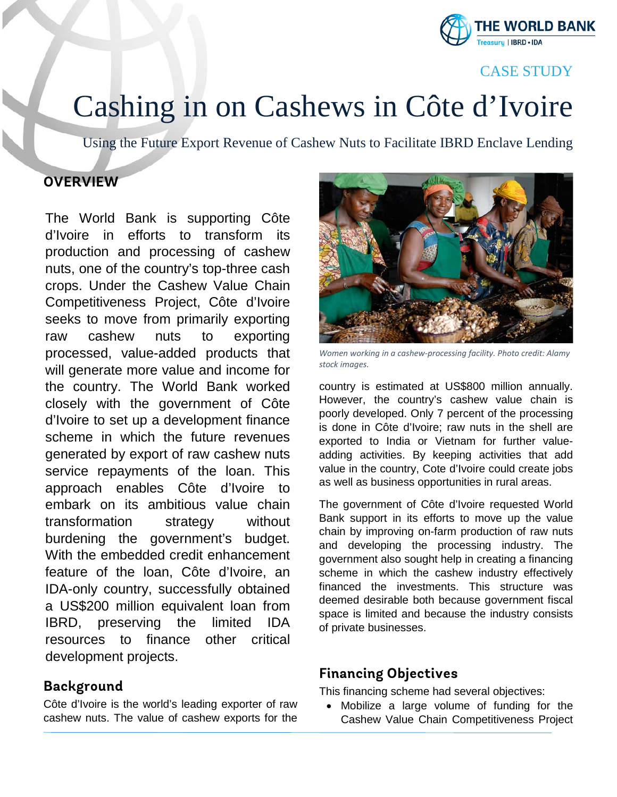

# CASE STUDY

# Cashing in on Cashews in Côte d'Ivoire<br>Using the Future Export Revenue of Cashew Nuts to Facilitate IBRD Enclave Lending

# **OVERVIEW**

The World Bank is supporting Côte d'Ivoire in efforts to transform its production and processing of cashew nuts, one of the country's top-three cash crops. Under the Cashew Value Chain Competitiveness Project, Côte d'Ivoire seeks to move from primarily exporting raw cashew nuts to exporting processed, value-added products that will generate more value and income for the country. The World Bank worked closely with the government of Côte d'Ivoire to set up a development finance scheme in which the future revenues generated by export of raw cashew nuts service repayments of the loan. This approach enables Côte d'Ivoire to embark on its ambitious value chain transformation strategy without burdening the government's budget. With the embedded credit enhancement feature of the loan, Côte d'Ivoire, an IDA-only country, successfully obtained a US\$200 million equivalent loan from IBRD, preserving the limited IDA resources to finance other critical development projects.

#### **Background**

Côte d'Ivoire is the world's leading exporter of raw cashew nuts. The value of cashew exports for the



*Women working in a cashew-processing facility. Photo credit: Alamy stock images.*

country is estimated at US\$800 million annually. However, the country's cashew value chain is poorly developed. Only 7 percent of the processing is done in Côte d'Ivoire; raw nuts in the shell are exported to India or Vietnam for further valueadding activities. By keeping activities that add value in the country, Cote d'Ivoire could create jobs as well as business opportunities in rural areas.

The government of Côte d'Ivoire requested World Bank support in its efforts to move up the value chain by improving on-farm production of raw nuts and developing the processing industry. The government also sought help in creating a financing scheme in which the cashew industry effectively financed the investments. This structure was deemed desirable both because government fiscal space is limited and because the industry consists of private businesses.

#### **Financing Objectives**

This financing scheme had several objectives:

• Mobilize a large volume of funding for the Cashew Value Chain Competitiveness Project